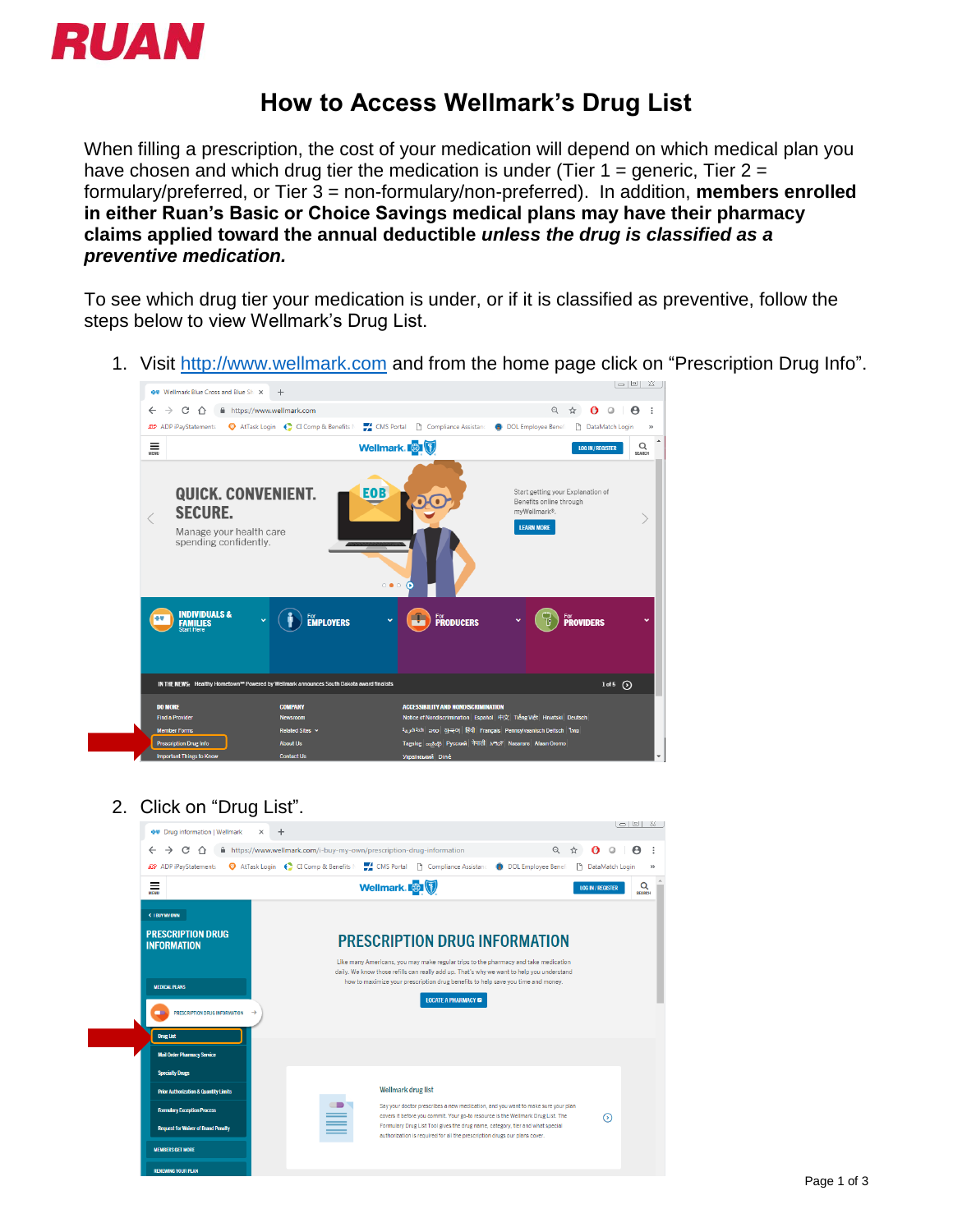

## **How to Access Wellmark's Drug List**

When filling a prescription, the cost of your medication will depend on which medical plan you have chosen and which drug tier the medication is under (Tier 1 = generic, Tier 2 = formulary/preferred, or Tier 3 = non-formulary/non-preferred). In addition, **members enrolled in either Ruan's Basic or Choice Savings medical plans may have their pharmacy claims applied toward the annual deductible** *unless the drug is classified as a preventive medication.*

To see which drug tier your medication is under, or if it is classified as preventive, follow the steps below to view Wellmark's Drug List.

1. Visit [http://www.wellmark.com](http://www.wellmark.com/) and from the home page click on "Prescription Drug Info".



2. Click on "Drug List".

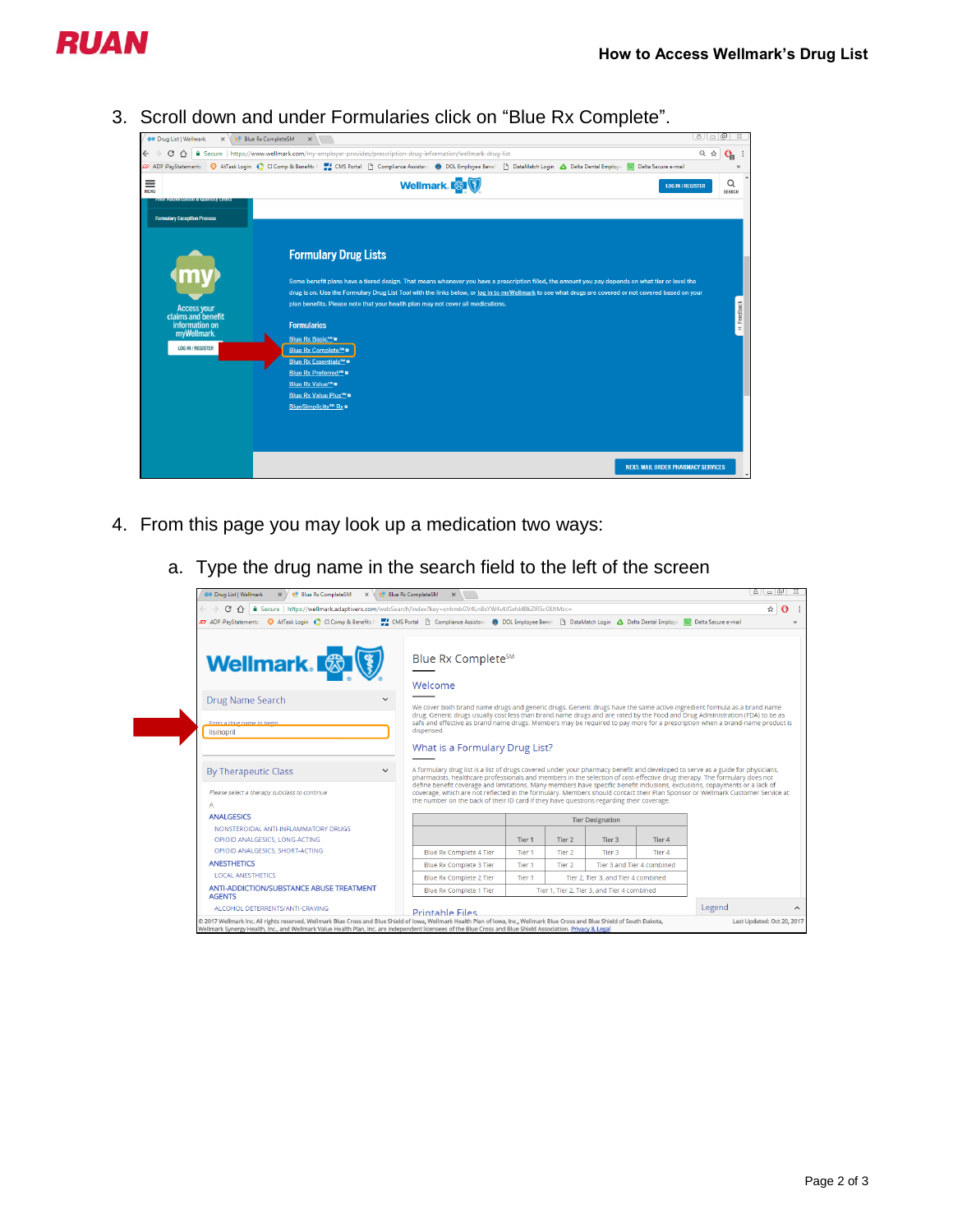

3. Scroll down and under Formularies click on "Blue Rx Complete".



- 4. From this page you may look up a medication two ways:
	- a. Type the drug name in the search field to the left of the screen

| OU Drug List   Wellmark<br>$\times$ $\times$ Blue Rx CompleteSM                                                                                                                           | $\times$ $\overline{\phantom{a}}$ Blue Rx CompleteSM<br>$\times$                                                                                                                                                                                                                                                                                                                                                                                                                                                                                                                                                        |                                             |                   |                                     |                            | 816618 |  |
|-------------------------------------------------------------------------------------------------------------------------------------------------------------------------------------------|-------------------------------------------------------------------------------------------------------------------------------------------------------------------------------------------------------------------------------------------------------------------------------------------------------------------------------------------------------------------------------------------------------------------------------------------------------------------------------------------------------------------------------------------------------------------------------------------------------------------------|---------------------------------------------|-------------------|-------------------------------------|----------------------------|--------|--|
| △ Secure https://wellmark.adaptiverx.com/webSearch/index?key=cnhmbGV4LnBsYW4uUGxhblBkZlR5cGUtMzc=<br>C                                                                                    |                                                                                                                                                                                                                                                                                                                                                                                                                                                                                                                                                                                                                         |                                             |                   |                                     |                            |        |  |
| 22 ADP iPayStatements ● AtTask Login ● CI Comp & Benefits   ■ CMS Portal     Compliance Assistant ● DOL Employee Benef     DataMatch Login A Delta Dental Employe   2 Delta Secure e-mail |                                                                                                                                                                                                                                                                                                                                                                                                                                                                                                                                                                                                                         |                                             |                   |                                     |                            |        |  |
| <b>Wellmark.</b>                                                                                                                                                                          | Blue Rx Complete <sup>SM</sup><br>Welcome                                                                                                                                                                                                                                                                                                                                                                                                                                                                                                                                                                               |                                             |                   |                                     |                            |        |  |
| Drug Name Search<br>$\checkmark$                                                                                                                                                          | We cover both brand name drugs and generic drugs. Generic drugs have the same active-ingredient formula as a brand name                                                                                                                                                                                                                                                                                                                                                                                                                                                                                                 |                                             |                   |                                     |                            |        |  |
| Enter a drug name to begin<br>lisinopril                                                                                                                                                  | drug. Generic drugs usually cost less than brand name drugs and are rated by the Food and Drug Administration (FDA) to be as<br>safe and effective as brand name drugs. Members may be required to pay more for a prescription when a brand-name product is<br>dispensed.                                                                                                                                                                                                                                                                                                                                               |                                             |                   |                                     |                            |        |  |
|                                                                                                                                                                                           | What is a Formulary Drug List?                                                                                                                                                                                                                                                                                                                                                                                                                                                                                                                                                                                          |                                             |                   |                                     |                            |        |  |
| <b>By Therapeutic Class</b><br>$\checkmark$<br>Please select a therapy subclass to continue<br>A                                                                                          | A formulary drug list is a list of drugs covered under your pharmacy benefit and developed to serve as a guide for physicians,<br>pharmacists, healthcare professionals and members in the selection of cost-effective drug therapy. The formulary does not<br>define benefit coverage and limitations. Many members have specific benefit inclusions, exclusions, copayments or a lack of<br>coverage, which are not reflected in the formulary. Members should contact their Plan Sponsor or Wellmark Customer Service at<br>the number on the back of their ID card if they have questions regarding their coverage. |                                             |                   |                                     |                            |        |  |
| <b>ANALGESICS</b>                                                                                                                                                                         |                                                                                                                                                                                                                                                                                                                                                                                                                                                                                                                                                                                                                         | <b>Tier Designation</b>                     |                   |                                     |                            |        |  |
| NONSTEROIDAL ANTI-INFLAMMATORY DRUGS<br>OPIOID ANALGESICS, LONG-ACTING                                                                                                                    |                                                                                                                                                                                                                                                                                                                                                                                                                                                                                                                                                                                                                         | Tier 1                                      | Tier 2            | Tier 3                              | Tier 4                     |        |  |
| OPIOID ANALGESICS, SHORT-ACTING                                                                                                                                                           | <b>Blue Rx Complete 4 Tier</b>                                                                                                                                                                                                                                                                                                                                                                                                                                                                                                                                                                                          | Tier <sub>1</sub>                           | Tier <sub>2</sub> | Tier 3                              | Tier 4                     |        |  |
| <b>ANESTHETICS</b>                                                                                                                                                                        | Blue Rx Complete 3 Tier                                                                                                                                                                                                                                                                                                                                                                                                                                                                                                                                                                                                 | Tier 1                                      | Tier 2            |                                     | Tier 3 and Tier 4 combined |        |  |
| <b>LOCAL ANESTHETICS</b>                                                                                                                                                                  | <b>Blue Rx Complete 2 Tier</b>                                                                                                                                                                                                                                                                                                                                                                                                                                                                                                                                                                                          | Tier 1                                      |                   | Tier 2. Tier 3, and Tier 4 combined |                            |        |  |
| ANTI-ADDICTION/SUBSTANCE ABUSE TREATMENT<br><b>AGENTS</b>                                                                                                                                 | Blue Rx Complete 1 Tier                                                                                                                                                                                                                                                                                                                                                                                                                                                                                                                                                                                                 | Tier 1, Tier 2, Tier 3, and Tier 4 combined |                   |                                     |                            |        |  |
| ALCOHOL DETERRENTS/ANTI-CRAVING                                                                                                                                                           | <b>Printable Files</b>                                                                                                                                                                                                                                                                                                                                                                                                                                                                                                                                                                                                  |                                             |                   |                                     |                            | Legend |  |